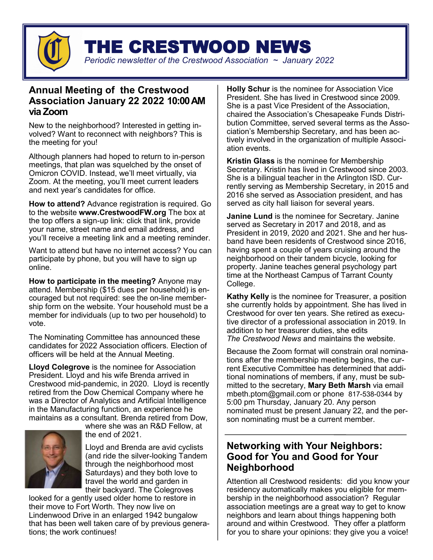

THE CRESTWOOD NEWS

## *Periodic newsletter of the Crestwood Association ~ January 2022*

## **Annual Meeting of the Crestwood Association January 22 2022 10:00 AM via Zoom**

New to the neighborhood? Interested in getting involved? Want to reconnect with neighbors? This is the meeting for you!

Although planners had hoped to return to in-person meetings, that plan was squelched by the onset of Omicron COVID. Instead, we'll meet virtually, via Zoom. At the meeting, you'll meet current leaders and next year's candidates for office.

**How to attend?** Advance registration is required. Go to the website **www.CrestwoodFW.org** The box at the top offers a sign-up link: click that link, provide your name, street name and email address, and you'll receive a meeting link and a meeting reminder.

Want to attend but have no internet access? You can participate by phone, but you will have to sign up online.

**How to participate in the meeting?** Anyone may attend. Membership (\$15 dues per household) is encouraged but not required: see the on-line membership form on the website. Your household must be a member for individuals (up to two per household) to vote.

The Nominating Committee has announced these candidates for 2022 Association officers. Election of officers will be held at the Annual Meeting.

**Lloyd Colegrove** is the nominee for Association President. Lloyd and his wife Brenda arrived in Crestwood mid-pandemic, in 2020. Lloyd is recently retired from the Dow Chemical Company where he was a Director of Analytics and Artificial Intelligence in the Manufacturing function, an experience he maintains as a consultant. Brenda retired from Dow,



where she was an R&D Fellow, at the end of 2021.

Lloyd and Brenda are avid cyclists (and ride the silver-looking Tandem through the neighborhood most Saturdays) and they both love to travel the world and garden in their backyard. The Colegroves

looked for a gently used older home to restore in their move to Fort Worth. They now live on Lindenwood Drive in an enlarged 1942 bungalow that has been well taken care of by previous generations; the work continues!

**Holly Schur** is the nominee for Association Vice President. She has lived in Crestwood since 2009. She is a past Vice President of the Association, chaired the Association's Chesapeake Funds Distribution Committee, served several terms as the Association's Membership Secretary, and has been actively involved in the organization of multiple Association events.

**Kristin Glass** is the nominee for Membership Secretary. Kristin has lived in Crestwood since 2003. She is a bilingual teacher in the Arlington ISD. Currently serving as Membership Secretary, in 2015 and 2016 she served as Association president, and has served as city hall liaison for several years.

**Janine Lund** is the nominee for Secretary. Janine served as Secretary in 2017 and 2018, and as President in 2019, 2020 and 2021. She and her husband have been residents of Crestwood since 2016, having spent a couple of years cruising around the neighborhood on their tandem bicycle, looking for property. Janine teaches general psychology part time at the Northeast Campus of Tarrant County College.

**Kathy Kelly** is the nominee for Treasurer, a position she currently holds by appointment. She has lived in Crestwood for over ten years. She retired as executive director of a professional association in 2019. In addition to her treasurer duties, she edits *The Crestwood News* and maintains the website.

Because the Zoom format will constrain oral nominations after the membership meeting begins, the current Executive Committee has determined that additional nominations of members, if any, must be submitted to the secretary, **Mary Beth Marsh** via email [mbeth.ptom@gmail.com](mailto:mbeth.ptom@gmail.com) or phone 817-538-0344 by 5:00 pm Thursday, January 20. Any person nominated must be present January 22, and the person nominating must be a current member.

# **Networking with Your Neighbors: Good for You and Good for Your Neighborhood**

Attention all Crestwood residents: did you know your residency automatically makes you eligible for membership in the neighborhood association? Regular association meetings are a great way to get to know neighbors and learn about things happening both around and within Crestwood. They offer a platform for you to share your opinions: they give you a voice!